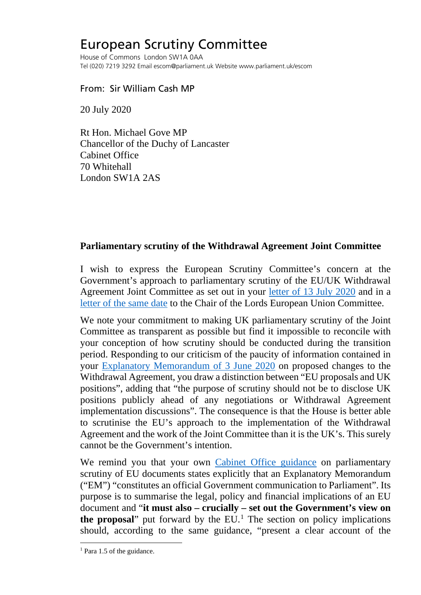## European Scrutiny Committee

House of Commons London SW1A 0AA Tel (020) 7219 3292 Email escom@parliament.uk Website www.parliament.uk/escom

## From: Sir William Cash MP

20 July 2020

Rt Hon. Michael Gove MP Chancellor of the Duchy of Lancaster Cabinet Office 70 Whitehall London SW1A 2AS

## **Parliamentary scrutiny of the Withdrawal Agreement Joint Committee**

I wish to express the European Scrutiny Committee's concern at the Government's approach to parliamentary scrutiny of the EU/UK Withdrawal Agreement Joint Committee as set out in your [letter of 13 July 2020](http://europeanmemoranda.cabinetoffice.gov.uk/files/2020/07/MC2020_08463_(1).pdf) and in a [letter of the same date](http://europeanmemoranda.cabinetoffice.gov.uk/files/2020/07/MC2020_08099_(1).pdf) to the Chair of the Lords European Union Committee.

We note your commitment to making UK parliamentary scrutiny of the Joint Committee as transparent as possible but find it impossible to reconcile with your conception of how scrutiny should be conducted during the transition period. Responding to our criticism of the paucity of information contained in your [Explanatory Memorandum of 3 June 2020](http://europeanmemoranda.cabinetoffice.gov.uk/files/2020/06/2020.06_.03-_Updated-EM-_EU_Council_Decision-_Signed-_Word_Version_.pdf) on proposed changes to the Withdrawal Agreement, you draw a distinction between "EU proposals and UK positions", adding that "the purpose of scrutiny should not be to disclose UK positions publicly ahead of any negotiations or Withdrawal Agreement implementation discussions". The consequence is that the House is better able to scrutinise the EU's approach to the implementation of the Withdrawal Agreement and the work of the Joint Committee than it is the UK's. This surely cannot be the Government's intention.

We remind you that your own [Cabinet Office guidance](http://europeanmemoranda.cabinetoffice.gov.uk/files/content/parliamentary-scrutiny-departments-1306.pdf) on parliamentary scrutiny of EU documents states explicitly that an Explanatory Memorandum ("EM") "constitutes an official Government communication to Parliament". Its purpose is to summarise the legal, policy and financial implications of an EU document and "**it must also – crucially – set out the Government's view on the proposal**" put forward by the EU. [1](#page-0-0) The section on policy implications should, according to the same guidance, "present a clear account of the

<span id="page-0-0"></span><sup>&</sup>lt;sup>1</sup> Para 1.5 of the guidance.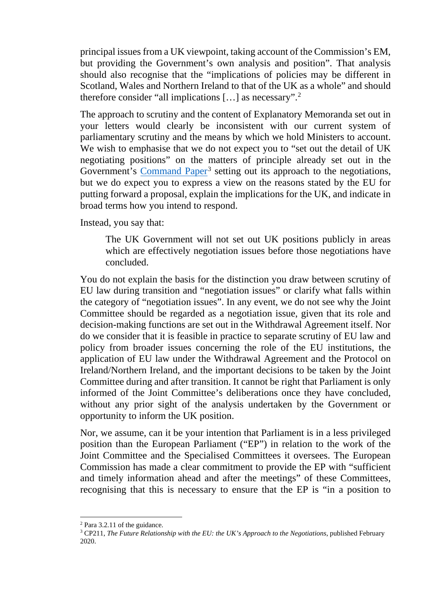principal issues from a UK viewpoint, taking account of the Commission's EM, but providing the Government's own analysis and position". That analysis should also recognise that the "implications of policies may be different in Scotland, Wales and Northern Ireland to that of the UK as a whole" and should therefore consider "all implications  $[...]$  as necessary".<sup>[2](#page-1-0)</sup>

The approach to scrutiny and the content of Explanatory Memoranda set out in your letters would clearly be inconsistent with our current system of parliamentary scrutiny and the means by which we hold Ministers to account. We wish to emphasise that we do not expect you to "set out the detail of UK negotiating positions" on the matters of principle already set out in the Government's [Command Paper](https://assets.publishing.service.gov.uk/government/uploads/system/uploads/attachment_data/file/868874/The_Future_Relationship_with_the_EU.pdf)<sup>[3](#page-1-1)</sup> setting out its approach to the negotiations, but we do expect you to express a view on the reasons stated by the EU for putting forward a proposal, explain the implications for the UK, and indicate in broad terms how you intend to respond.

Instead, you say that:

The UK Government will not set out UK positions publicly in areas which are effectively negotiation issues before those negotiations have concluded.

You do not explain the basis for the distinction you draw between scrutiny of EU law during transition and "negotiation issues" or clarify what falls within the category of "negotiation issues". In any event, we do not see why the Joint Committee should be regarded as a negotiation issue, given that its role and decision-making functions are set out in the Withdrawal Agreement itself. Nor do we consider that it is feasible in practice to separate scrutiny of EU law and policy from broader issues concerning the role of the EU institutions, the application of EU law under the Withdrawal Agreement and the Protocol on Ireland/Northern Ireland, and the important decisions to be taken by the Joint Committee during and after transition. It cannot be right that Parliament is only informed of the Joint Committee's deliberations once they have concluded, without any prior sight of the analysis undertaken by the Government or opportunity to inform the UK position.

Nor, we assume, can it be your intention that Parliament is in a less privileged position than the European Parliament ("EP") in relation to the work of the Joint Committee and the Specialised Committees it oversees. The European Commission has made a clear commitment to provide the EP with "sufficient and timely information ahead and after the meetings" of these Committees, recognising that this is necessary to ensure that the EP is "in a position to

<span id="page-1-1"></span><span id="page-1-0"></span><sup>2</sup> Para 3.2.11 of the guidance.

<sup>3</sup> CP211, *The Future Relationship with the EU: the UK's Approach to the Negotiations*, published February 2020.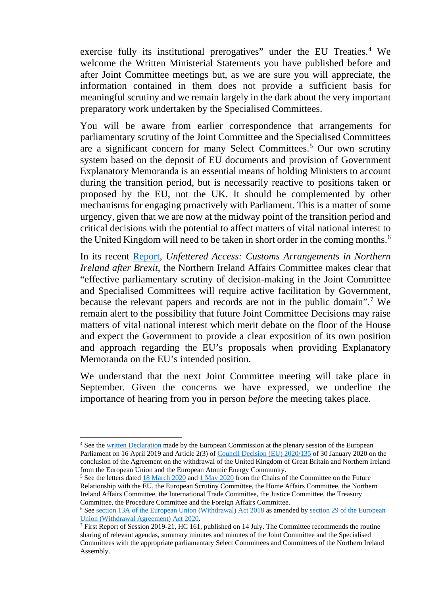exercise fully its institutional prerogatives" under the EU Treaties.<sup>[4](#page-2-0)</sup> We welcome the Written Ministerial Statements you have published before and after Joint Committee meetings but, as we are sure you will appreciate, the information contained in them does not provide a sufficient basis for meaningful scrutiny and we remain largely in the dark about the very important preparatory work undertaken by the Specialised Committees.

You will be aware from earlier correspondence that arrangements for parliamentary scrutiny of the Joint Committee and the Specialised Committees are a significant concern for many Select Committees.<sup>[5](#page-2-1)</sup> Our own scrutiny system based on the deposit of EU documents and provision of Government Explanatory Memoranda is an essential means of holding Ministers to account during the transition period, but is necessarily reactive to positions taken or proposed by the EU, not the UK. It should be complemented by other mechanisms for engaging proactively with Parliament. This is a matter of some urgency, given that we are now at the midway point of the transition period and critical decisions with the potential to affect matters of vital national interest to the United Kingdom will need to be taken in short order in the coming months.<sup>[6](#page-2-2)</sup>

In its recent [Report,](https://committees.parliament.uk/publications/1857/documents/18478/default/) *Unfettered Access: Customs Arrangements in Northern Ireland after Brexit*, the Northern Ireland Affairs Committee makes clear that "effective parliamentary scrutiny of decision-making in the Joint Committee and Specialised Committees will require active facilitation by Government, because the relevant papers and records are not in the public domain".[7](#page-2-3) We remain alert to the possibility that future Joint Committee Decisions may raise matters of vital national interest which merit debate on the floor of the House and expect the Government to provide a clear exposition of its own position and approach regarding the EU's proposals when providing Explanatory Memoranda on the EU's intended position.

We understand that the next Joint Committee meeting will take place in September. Given the concerns we have expressed, we underline the importance of hearing from you in person *before* the meeting takes place.

<span id="page-2-0"></span><sup>&</sup>lt;sup>4</sup> See the [written Declaration](https://www.europarl.europa.eu/doceo/document/CRE-8-2019-04-16-ITM-004_EN.html?redirect) made by the European Commission at the plenary session of the European Parliament on 16 April 2019 and Article 2(3) o[f Council Decision \(EU\) 2020/135](https://eur-lex.europa.eu/legal-content/EN/TXT/PDF/?uri=CELEX:32020D0135&from=EN) of 30 January 2020 on the conclusion of the Agreement on the withdrawal of the United Kingdom of Great Britain and Northern Ireland from the European Union and the European Atomic Energy Community.

<span id="page-2-1"></span><sup>&</sup>lt;sup>5</sup> See the letters dated [18 March 2020](https://committees.parliament.uk/publications/431/documents/1652/default/) and [1 May 2020](https://committees.parliament.uk/publications/1703/documents/16642/default/) from the Chairs of the Committee on the Future Relationship with the EU, the European Scrutiny Committee, the Home Affairs Committee, the Northern Ireland Affairs Committee, the International Trade Committee, the Justice Committee, the Treasury Committee, the Procedure Committee and the Foreign Affairs Committee.

<span id="page-2-2"></span><sup>&</sup>lt;sup>6</sup> See [section 13A of the European Union \(Withdrawal\) Act 2018](http://www.legislation.gov.uk/ukpga/2018/16/section/13A) as amended by section 29 of the European [Union \(Withdrawal Agreement\) Act 2020.](http://www.legislation.gov.uk/ukpga/2020/1/section/29/enacted)

<span id="page-2-3"></span> $\frac{7}{7}$  First Report of Session 2019-21, HC 161, published on 14 July. The Committee recommends the routine sharing of relevant agendas, summary minutes and minutes of the Joint Committee and the Specialised Committees with the appropriate parliamentary Select Committees and Committees of the Northern Ireland Assembly.